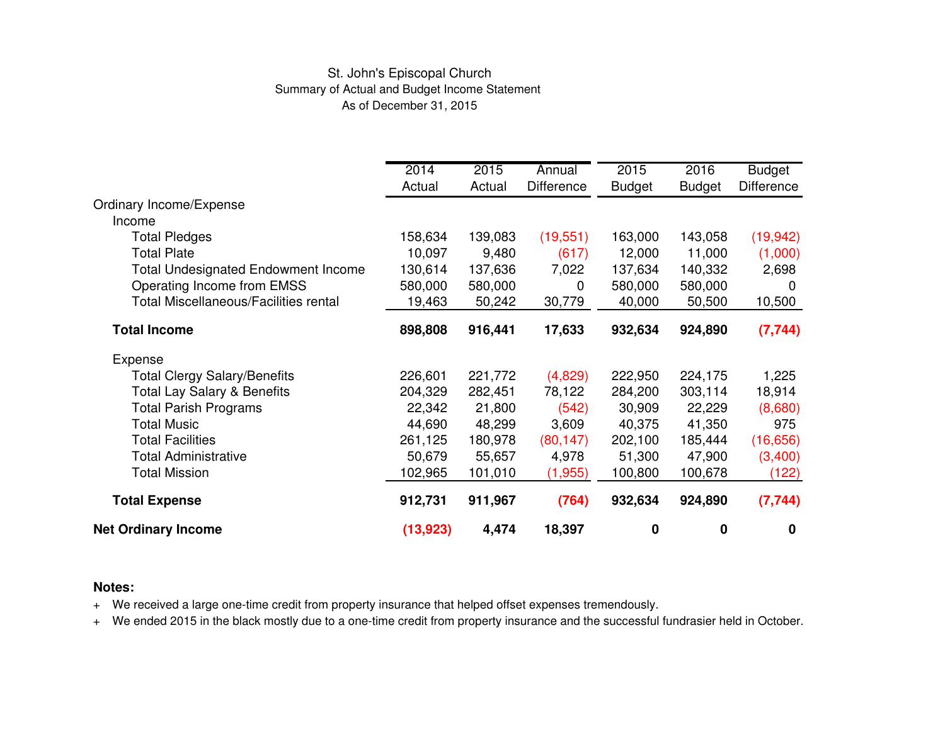### St. John's Episcopal Church Summary of Actual and Budget Income Statement As of December 31, 2015

|                                              | 2014<br>Actual | 2015<br>Actual | Annual<br><b>Difference</b> | 2015          | 2016          | <b>Budget</b><br><b>Difference</b> |
|----------------------------------------------|----------------|----------------|-----------------------------|---------------|---------------|------------------------------------|
| Ordinary Income/Expense<br>Income            |                |                |                             | <b>Budget</b> | <b>Budget</b> |                                    |
| <b>Total Pledges</b>                         | 158,634        | 139,083        | (19, 551)                   | 163,000       | 143,058       | (19, 942)                          |
| <b>Total Plate</b>                           | 10,097         | 9,480          | (617)                       | 12,000        | 11,000        | (1,000)                            |
| <b>Total Undesignated Endowment Income</b>   | 130,614        | 137,636        | 7,022                       | 137,634       | 140,332       | 2,698                              |
| Operating Income from EMSS                   | 580,000        | 580,000        | 0                           | 580,000       | 580,000       | $\Omega$                           |
| <b>Total Miscellaneous/Facilities rental</b> | 19,463         | 50,242         | 30,779                      | 40,000        | 50,500        | 10,500                             |
| <b>Total Income</b>                          | 898,808        | 916,441        | 17,633                      | 932,634       | 924,890       | (7, 744)                           |
| Expense                                      |                |                |                             |               |               |                                    |
| <b>Total Clergy Salary/Benefits</b>          | 226,601        | 221,772        | (4,829)                     | 222,950       | 224,175       | 1,225                              |
| <b>Total Lay Salary &amp; Benefits</b>       | 204,329        | 282,451        | 78,122                      | 284,200       | 303,114       | 18,914                             |
| <b>Total Parish Programs</b>                 | 22,342         | 21,800         | (542)                       | 30,909        | 22,229        | (8,680)                            |
| <b>Total Music</b>                           | 44,690         | 48,299         | 3,609                       | 40,375        | 41,350        | 975                                |
| <b>Total Facilities</b>                      | 261,125        | 180,978        | (80, 147)                   | 202,100       | 185,444       | (16, 656)                          |
| <b>Total Administrative</b>                  | 50,679         | 55,657         | 4,978                       | 51,300        | 47,900        | (3,400)                            |
| <b>Total Mission</b>                         | 102,965        | 101,010        | (1,955)                     | 100,800       | 100,678       | (122)                              |
| <b>Total Expense</b>                         | 912,731        | 911,967        | (764)                       | 932,634       | 924,890       | (7, 744)                           |
| <b>Net Ordinary Income</b>                   | (13, 923)      | 4,474          | 18,397                      | 0             | 0             | $\mathbf 0$                        |

#### **Notes:**

<sup>+</sup> We received a large one-time credit from property insurance that helped offset expenses tremendously.

<sup>+</sup> We ended 2015 in the black mostly due to a one-time credit from property insurance and the successful fundrasier held in October.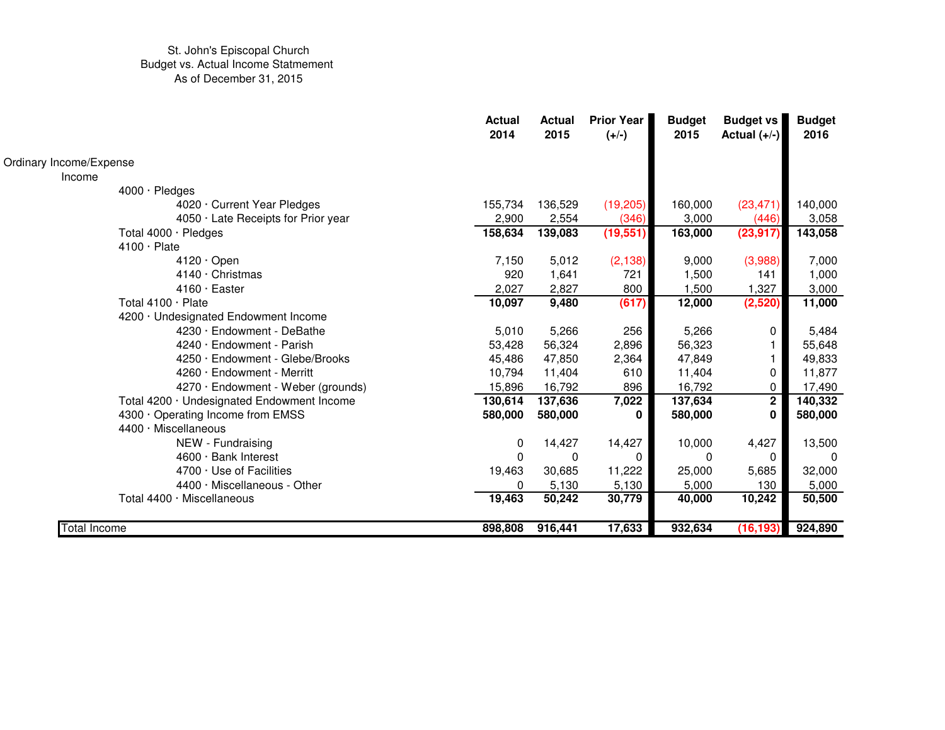|                                            | <b>Actual</b><br>2014 | <b>Actual</b><br>2015 | <b>Prior Year</b><br>$(+/-)$ | <b>Budget</b><br>2015 | <b>Budget vs</b><br>Actual $(+/-)$ | <b>Budget</b><br>2016 |
|--------------------------------------------|-----------------------|-----------------------|------------------------------|-----------------------|------------------------------------|-----------------------|
| Ordinary Income/Expense                    |                       |                       |                              |                       |                                    |                       |
| Income                                     |                       |                       |                              |                       |                                    |                       |
| 4000 · Pledges                             |                       |                       |                              |                       |                                    |                       |
| 4020 Current Year Pledges                  | 155,734               | 136,529               | (19,205)                     | 160,000               | (23, 471)                          | 140,000               |
| 4050 · Late Receipts for Prior year        | 2,900                 | 2,554                 | (346)                        | 3,000                 | (446)                              | 3,058                 |
| Total $4000 \cdot$ Pledges                 | 158,634               | 139,083               | (19, 551)                    | 163,000               | (23, 917)                          | 143,058               |
| $4100 \cdot$ Plate                         |                       |                       |                              |                       |                                    |                       |
| $4120 \cdot$ Open                          | 7,150                 | 5,012                 | (2, 138)                     | 9,000                 | (3,988)                            | 7,000                 |
| $4140 \cdot$ Christmas                     | 920                   | 1,641                 | 721                          | 1,500                 | 141                                | 1,000                 |
| $4160 \cdot$ Easter                        | 2,027                 | 2,827                 | 800                          | 1,500                 | 1,327                              | 3,000                 |
| Total $4100 \cdot$ Plate                   | 10,097                | 9,480                 | (617)                        | 12,000                | (2,520)                            | 11,000                |
| 4200 · Undesignated Endowment Income       |                       |                       |                              |                       |                                    |                       |
| 4230 · Endowment - DeBathe                 | 5,010                 | 5,266                 | 256                          | 5,266                 | 0                                  | 5,484                 |
| $4240 \cdot$ Endowment - Parish            | 53,428                | 56,324                | 2,896                        | 56,323                |                                    | 55,648                |
| $4250 \cdot$ Endowment - Glebe/Brooks      | 45,486                | 47,850                | 2,364                        | 47,849                |                                    | 49,833                |
| $4260 \cdot$ Endowment - Merritt           | 10,794                | 11,404                | 610                          | 11,404                | 0                                  | 11,877                |
| 4270 · Endowment - Weber (grounds)         | 15,896                | 16,792                | 896                          | 16,792                | 0                                  | 17,490                |
| Total 4200 · Undesignated Endowment Income | 130,614               | 137,636               | 7,022                        | 137,634               | $2^{\circ}$                        | 140,332               |
| 4300 Operating Income from EMSS            | 580,000               | 580,000               | 0                            | 580,000               | 0                                  | 580,000               |
| 4400 · Miscellaneous                       |                       |                       |                              |                       |                                    |                       |
| NEW - Fundraising                          | $\mathbf{0}$          | 14,427                | 14,427                       | 10,000                | 4,427                              | 13,500                |
| $4600 \cdot$ Bank Interest                 | 0                     | 0                     | 0                            | <sup>0</sup>          | $\Omega$                           | $\Omega$              |
| $4700 \cdot$ Use of Facilities             | 19,463                | 30,685                | 11,222                       | 25,000                | 5,685                              | 32,000                |
| $4400 \cdot$ Miscellaneous - Other         | 0                     | 5,130                 | 5,130                        | 5,000                 | 130                                | 5,000                 |
| Total 4400 · Miscellaneous                 | 19,463                | 50,242                | 30,779                       | 40,000                | 10,242                             | 50,500                |
| Total Income                               | 898,808               | 916,441               | 17,633                       | 932,634               | (16, 193)                          | 924,890               |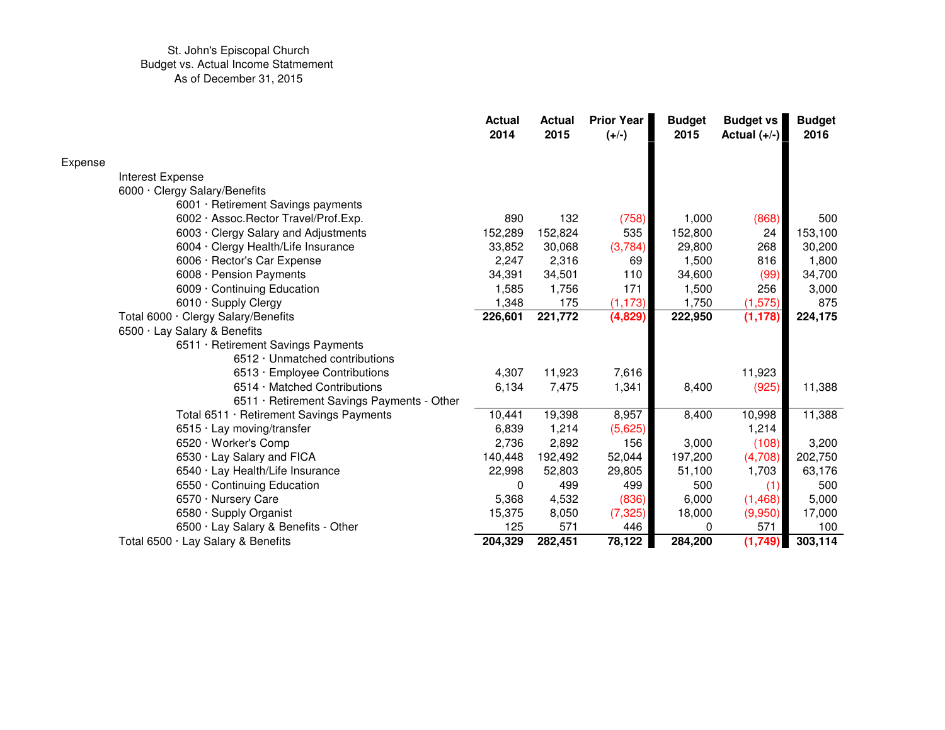|                  |                                            | <b>Actual</b><br>2014 | <b>Actual</b><br>2015 | <b>Prior Year</b><br>$(+/-)$ | <b>Budget</b><br>2015 | <b>Budget vs</b><br>Actual $(+/-)$ | <b>Budget</b><br>2016 |
|------------------|--------------------------------------------|-----------------------|-----------------------|------------------------------|-----------------------|------------------------------------|-----------------------|
| Expense          |                                            |                       |                       |                              |                       |                                    |                       |
| Interest Expense |                                            |                       |                       |                              |                       |                                    |                       |
|                  | 6000 · Clergy Salary/Benefits              |                       |                       |                              |                       |                                    |                       |
|                  | 6001 · Retirement Savings payments         |                       |                       |                              |                       |                                    |                       |
|                  | 6002 · Assoc. Rector Travel/Prof. Exp.     | 890                   | 132                   | (758)                        | 1,000                 | (868)                              | 500                   |
|                  | 6003 · Clergy Salary and Adjustments       | 152,289               | 152,824               | 535                          | 152,800               | 24                                 | 153,100               |
|                  | 6004 · Clergy Health/Life Insurance        | 33,852                | 30,068                | (3,784)                      | 29,800                | 268                                | 30,200                |
|                  | 6006 · Rector's Car Expense                | 2,247                 | 2,316                 | 69                           | 1,500                 | 816                                | 1,800                 |
|                  | 6008 · Pension Payments                    | 34,391                | 34,501                | 110                          | 34,600                | (99)                               | 34,700                |
|                  | 6009 · Continuing Education                | 1,585                 | 1,756                 | 171                          | 1,500                 | 256                                | 3,000                 |
|                  | 6010 · Supply Clergy                       | 1,348                 | 175                   | (1, 173)                     | 1,750                 | (1, 575)                           | 875                   |
|                  | Total 6000 · Clergy Salary/Benefits        | 226,601               | 221,772               | (4,829)                      | 222,950               | (1, 178)                           | 224,175               |
|                  | 6500 · Lay Salary & Benefits               |                       |                       |                              |                       |                                    |                       |
|                  | 6511 · Retirement Savings Payments         |                       |                       |                              |                       |                                    |                       |
|                  | 6512 · Unmatched contributions             |                       |                       |                              |                       |                                    |                       |
|                  | 6513 · Employee Contributions              | 4,307                 | 11,923                | 7,616                        |                       | 11,923                             |                       |
|                  | 6514 Matched Contributions                 | 6,134                 | 7,475                 | 1,341                        | 8,400                 | (925)                              | 11,388                |
|                  | 6511 · Retirement Savings Payments - Other |                       |                       |                              |                       |                                    |                       |
|                  | Total 6511 · Retirement Savings Payments   | 10,441                | 19,398                | 8,957                        | 8,400                 | 10,998                             | 11,388                |
|                  | 6515 · Lay moving/transfer                 | 6,839                 | 1,214                 | (5,625)                      |                       | 1,214                              |                       |
|                  | 6520 · Worker's Comp                       | 2,736                 | 2,892                 | 156                          | 3,000                 | (108)                              | 3,200                 |
|                  | 6530 · Lay Salary and FICA                 | 140,448               | 192,492               | 52,044                       | 197,200               | (4,708)                            | 202,750               |
|                  | 6540 · Lay Health/Life Insurance           | 22,998                | 52,803                | 29,805                       | 51,100                | 1,703                              | 63,176                |
|                  | 6550 Continuing Education                  | 0                     | 499                   | 499                          | 500                   | (1)                                | 500                   |
|                  | 6570 · Nursery Care                        | 5,368                 | 4,532                 | (836)                        | 6,000                 | (1,468)                            | 5,000                 |
|                  | 6580 · Supply Organist                     | 15,375                | 8,050                 | (7, 325)                     | 18,000                | (9,950)                            | 17,000                |
|                  | 6500 · Lay Salary & Benefits - Other       | 125                   | 571                   | 446                          | 0                     | 571                                | 100                   |
|                  | Total 6500 · Lay Salary & Benefits         | 204,329               | 282,451               | 78,122                       | 284,200               | (1,749)                            | 303,114               |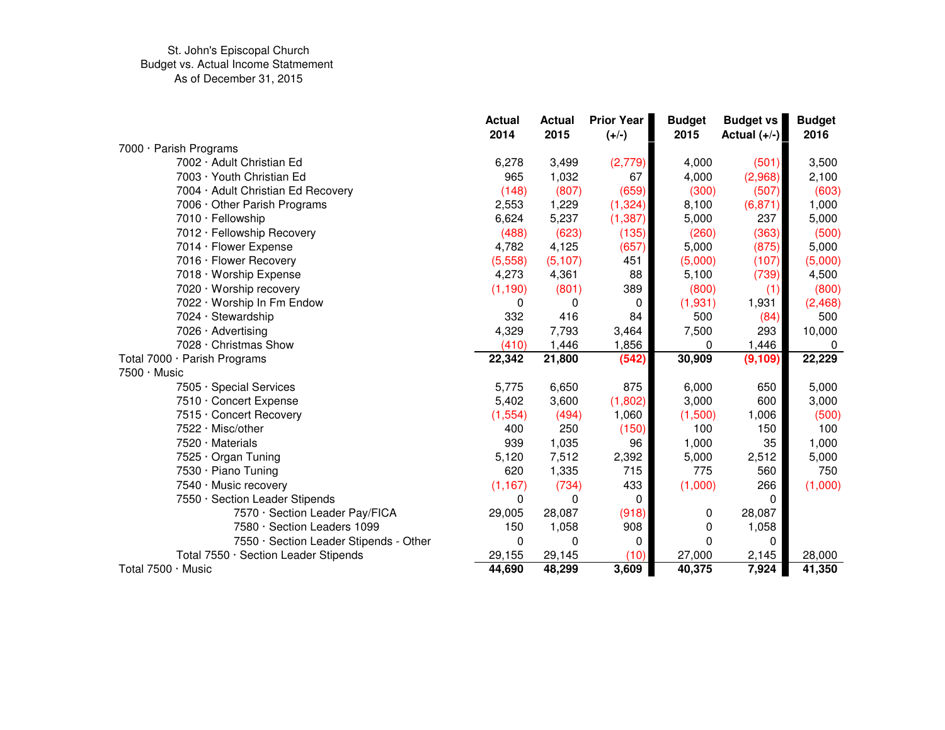|                                        | <b>Actual</b><br>2014 | <b>Actual</b><br>2015 | <b>Prior Year</b><br>$(+/-)$ | <b>Budget</b><br>2015 | <b>Budget vs</b><br>Actual $(+/-)$ | <b>Budget</b><br>2016 |
|----------------------------------------|-----------------------|-----------------------|------------------------------|-----------------------|------------------------------------|-----------------------|
| 7000 · Parish Programs                 |                       |                       |                              |                       |                                    |                       |
| 7002 · Adult Christian Ed              | 6,278                 | 3,499                 | (2,779)                      | 4,000                 | (501)                              | 3,500                 |
| 7003 · Youth Christian Ed              | 965                   | 1,032                 | 67                           | 4,000                 | (2,968)                            | 2,100                 |
| 7004 · Adult Christian Ed Recovery     | (148)                 | (807)                 | (659)                        | (300)                 | (507)                              | (603)                 |
| 7006 · Other Parish Programs           | 2,553                 | 1,229                 | (1, 324)                     | 8,100                 | (6, 871)                           | 1,000                 |
| 7010 · Fellowship                      | 6,624                 | 5,237                 | (1, 387)                     | 5,000                 | 237                                | 5,000                 |
| 7012 · Fellowship Recovery             | (488)                 | (623)                 | (135)                        | (260)                 | (363)                              | (500)                 |
| 7014 · Flower Expense                  | 4,782                 | 4,125                 | (657)                        | 5,000                 | (875)                              | 5,000                 |
| 7016 · Flower Recovery                 | (5,558)               | (5, 107)              | 451                          | (5,000)               | (107)                              | (5,000)               |
| 7018 · Worship Expense                 | 4,273                 | 4,361                 | 88                           | 5,100                 | (739)                              | 4,500                 |
| 7020 · Worship recovery                | (1, 190)              | (801)                 | 389                          | (800)                 | (1)                                | (800)                 |
| 7022 · Worship In Fm Endow             | 0                     | 0                     | 0                            | (1,931)               | 1,931                              | (2,468)               |
| 7024 · Stewardship                     | 332                   | 416                   | 84                           | 500                   | (84)                               | 500                   |
| 7026 · Advertising                     | 4,329                 | 7,793                 | 3,464                        | 7,500                 | 293                                | 10,000                |
| 7028 · Christmas Show                  | (410)                 | 1,446                 | 1,856                        | 0                     | 1,446                              | 0                     |
| Total 7000 · Parish Programs           | 22,342                | 21,800                | (542)                        | 30,909                | (9, 109)                           | 22,229                |
| $7500 \cdot$ Music                     |                       |                       |                              |                       |                                    |                       |
| 7505 · Special Services                | 5,775                 | 6,650                 | 875                          | 6,000                 | 650                                | 5,000                 |
| 7510 · Concert Expense                 | 5,402                 | 3,600                 | (1,802)                      | 3,000                 | 600                                | 3,000                 |
| 7515 · Concert Recovery                | (1, 554)              | (494)                 | 1,060                        | (1,500)               | 1,006                              | (500)                 |
| 7522 · Misc/other                      | 400                   | 250                   | (150)                        | 100                   | 150                                | 100                   |
| 7520 · Materials                       | 939                   | 1,035                 | 96                           | 1,000                 | 35                                 | 1,000                 |
| 7525 · Organ Tuning                    | 5,120                 | 7,512                 | 2,392                        | 5,000                 | 2,512                              | 5,000                 |
| 7530 · Piano Tuning                    | 620                   | 1,335                 | 715                          | 775                   | 560                                | 750                   |
| 7540 · Music recovery                  | (1, 167)              | (734)                 | 433                          | (1,000)               | 266                                | (1,000)               |
| 7550 · Section Leader Stipends         | 0                     | 0                     | 0                            |                       | 0                                  |                       |
| 7570 · Section Leader Pay/FICA         | 29,005                | 28,087                | (918)                        | 0                     | 28,087                             |                       |
| 7580 · Section Leaders 1099            | 150                   | 1,058                 | 908                          | 0                     | 1,058                              |                       |
| 7550 · Section Leader Stipends - Other | $\mathbf 0$           | $\mathbf 0$           | 0                            | 0                     | 0                                  |                       |
| Total 7550 · Section Leader Stipends   | 29,155                | 29,145                | (10)                         | 27,000                | 2,145                              | 28,000                |
| Total 7500 · Music                     | 44,690                | 48,299                | 3,609                        | 40,375                | 7,924                              | 41,350                |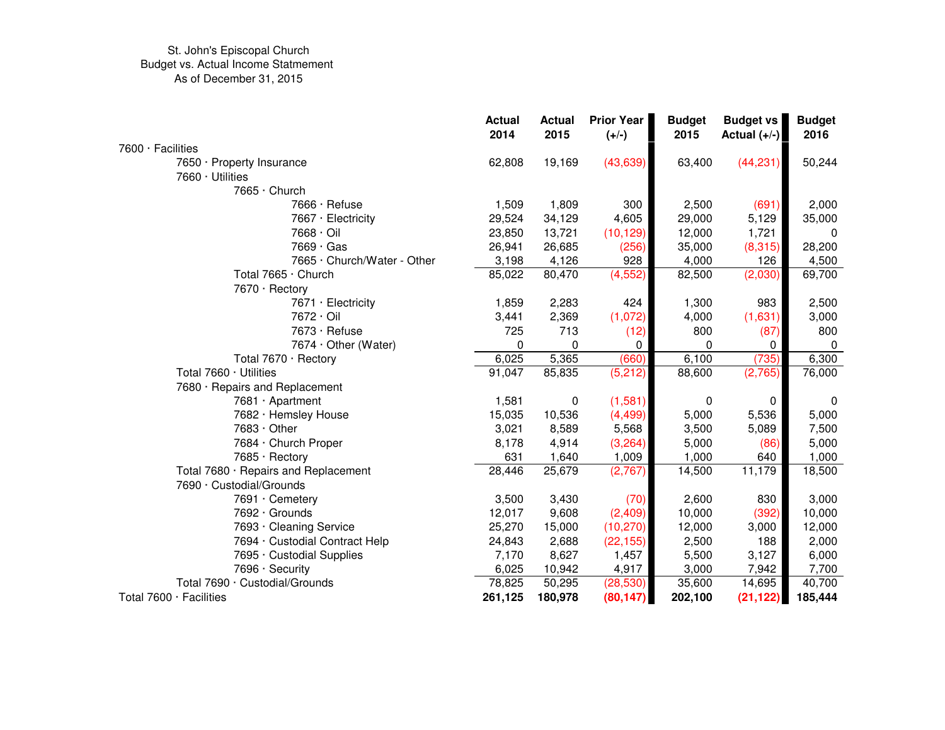|                                               | <b>Actual</b><br>2014 | <b>Actual</b><br>2015 | Prior Year<br>$(+/-)$ | <b>Budget</b><br>2015 | <b>Budget vs</b><br>Actual $(+/-)$ | <b>Budget</b><br>2016 |
|-----------------------------------------------|-----------------------|-----------------------|-----------------------|-----------------------|------------------------------------|-----------------------|
| $7600 \cdot$ Facilities                       |                       |                       |                       |                       |                                    |                       |
| 7650 · Property Insurance<br>7660 · Utilities | 62,808                | 19,169                | (43, 639)             | 63,400                | (44, 231)                          | 50,244                |
| 7665 · Church                                 |                       |                       |                       |                       |                                    |                       |
| 7666 · Refuse                                 | 1,509                 | 1,809                 | 300                   | 2,500                 | (691)                              | 2,000                 |
| 7667 · Electricity                            | 29,524                | 34,129                | 4,605                 | 29,000                | 5,129                              | 35,000                |
| 7668 · Oil                                    | 23,850                | 13,721                | (10, 129)             | 12,000                | 1,721                              | $\Omega$              |
| 7669 · Gas                                    | 26,941                | 26,685                | (256)                 | 35,000                | (8,315)                            | 28,200                |
| 7665 · Church/Water - Other                   | 3,198                 | 4,126                 | 928                   | 4,000                 | 126                                | 4,500                 |
| Total 7665 · Church                           | 85,022                | 80,470                | (4, 552)              | 82,500                | (2,030)                            | 69,700                |
| 7670 · Rectory                                |                       |                       |                       |                       |                                    |                       |
| 7671 · Electricity                            | 1,859                 | 2,283                 | 424                   | 1,300                 | 983                                | 2,500                 |
| 7672 · Oil                                    | 3,441                 | 2,369                 | (1,072)               | 4,000                 | (1,631)                            | 3,000                 |
| 7673 · Refuse                                 | 725                   | 713                   | (12)                  | 800                   | (87)                               | 800                   |
| 7674 · Other (Water)                          | 0                     | $\Omega$              | 0                     | 0                     | 0                                  | $\Omega$              |
| Total 7670 · Rectory                          | 6,025                 | 5,365                 | (660)                 | 6,100                 | (735)                              | 6,300                 |
| Total 7660 · Utilities                        | 91,047                | 85,835                | (5,212)               | 88,600                | (2,765)                            | 76,000                |
| 7680 · Repairs and Replacement                |                       |                       |                       |                       |                                    |                       |
| 7681 · Apartment                              | 1,581                 | 0                     | (1,581)               | 0                     | 0                                  | 0                     |
| 7682 · Hemsley House                          | 15,035                | 10,536                | (4, 499)              | 5,000                 | 5,536                              | 5,000                 |
| 7683 Other                                    | 3,021                 | 8,589                 | 5,568                 | 3,500                 | 5,089                              | 7,500                 |
| 7684 · Church Proper                          | 8,178                 | 4,914                 | (3,264)               | 5,000                 | (86)                               | 5,000                 |
| 7685 · Rectory                                | 631                   | 1,640                 | 1,009                 | 1,000                 | 640                                | 1,000                 |
| Total 7680 · Repairs and Replacement          | 28,446                | 25,679                | (2,767)               | 14,500                | 11,179                             | 18,500                |
| 7690 · Custodial/Grounds                      |                       |                       |                       |                       |                                    |                       |
| 7691 · Cemetery                               | 3,500                 | 3,430                 | (70)                  | 2,600                 | 830                                | 3,000                 |
| 7692 · Grounds                                | 12,017                | 9,608                 | (2,409)               | 10,000                | (392)                              | 10,000                |
| 7693 · Cleaning Service                       | 25,270                | 15,000                | (10, 270)             | 12,000                | 3,000                              | 12,000                |
| 7694 · Custodial Contract Help                | 24,843                | 2,688                 | (22, 155)             | 2,500                 | 188                                | 2,000                 |
| 7695 Custodial Supplies                       | 7,170                 | 8,627                 | 1,457                 | 5,500                 | 3,127                              | 6,000                 |
| 7696 · Security                               | 6,025                 | 10,942                | 4,917                 | 3,000                 | 7,942                              | 7,700                 |
| Total 7690 · Custodial/Grounds                | 78,825                | 50,295                | (28, 530)             | 35,600                | 14,695                             | 40,700                |
| Total 7600 · Facilities                       | 261,125               | 180,978               | (80, 147)             | 202,100               | (21, 122)                          | 185,444               |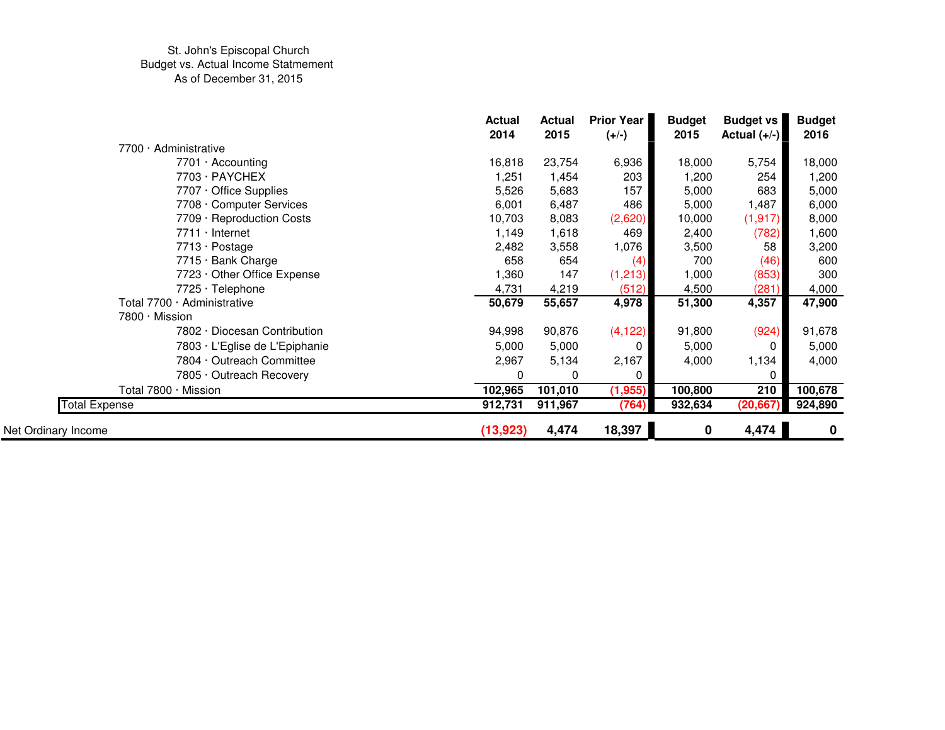|                                | <b>Actual</b><br>2014 | <b>Actual</b><br>2015 | <b>Prior Year</b><br>$(+/-)$ | <b>Budget</b><br>2015 | <b>Budget vs</b><br>Actual $(+/-)$ | <b>Budget</b><br>2016 |
|--------------------------------|-----------------------|-----------------------|------------------------------|-----------------------|------------------------------------|-----------------------|
| 7700 · Administrative          |                       |                       |                              |                       |                                    |                       |
| 7701 · Accounting              | 16,818                | 23,754                | 6,936                        | 18,000                | 5,754                              | 18,000                |
| 7703 · PAYCHEX                 | 1,251                 | 1,454                 | 203                          | 1,200                 | 254                                | 1,200                 |
| 7707 · Office Supplies         | 5,526                 | 5,683                 | 157                          | 5,000                 | 683                                | 5,000                 |
| 7708 · Computer Services       | 6,001                 | 6,487                 | 486                          | 5,000                 | 1,487                              | 6,000                 |
| 7709 · Reproduction Costs      | 10,703                | 8,083                 | (2,620)                      | 10,000                | (1, 917)                           | 8,000                 |
| $7711 \cdot$ Internet          | 1,149                 | 1,618                 | 469                          | 2,400                 | (782)                              | 1,600                 |
| 7713 · Postage                 | 2,482                 | 3,558                 | 1,076                        | 3,500                 | 58                                 | 3,200                 |
| 7715 · Bank Charge             | 658                   | 654                   | (4)                          | 700                   | (46)                               | 600                   |
| 7723 · Other Office Expense    | 1,360                 | 147                   | (1, 213)                     | 1,000                 | (853)                              | 300                   |
| 7725 · Telephone               | 4,731                 | 4,219                 | (512)                        | 4,500                 | (281)                              | 4,000                 |
| Total 7700 · Administrative    | 50,679                | 55,657                | 4,978                        | 51,300                | 4,357                              | 47,900                |
| 7800 · Mission                 |                       |                       |                              |                       |                                    |                       |
| 7802 · Diocesan Contribution   | 94,998                | 90,876                | (4, 122)                     | 91,800                | (924)                              | 91,678                |
| 7803 · L'Eglise de L'Epiphanie | 5,000                 | 5,000                 | 0                            | 5,000                 |                                    | 5,000                 |
| 7804 · Outreach Committee      | 2,967                 | 5,134                 | 2,167                        | 4,000                 | 1,134                              | 4,000                 |
| 7805 · Outreach Recovery       | 0                     | 0                     | 0                            |                       |                                    |                       |
| Total 7800 · Mission           | 102,965               | 101,010               | (1, 955)                     | 100,800               | 210                                | 100,678               |
| <b>Total Expense</b>           | 912,731               | 911,967               | (764)                        | 932,634               | (20, 667)                          | 924,890               |
| Net Ordinary Income            | (13, 923)             | 4,474                 | 18,397                       | 0                     | 4,474                              | $\mathbf 0$           |